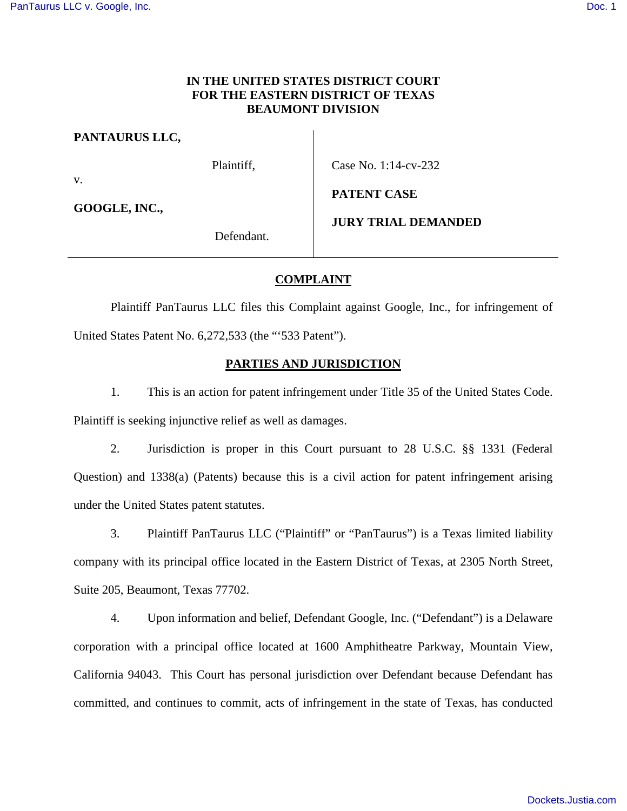# **IN THE UNITED STATES DISTRICT COURT FOR THE EASTERN DISTRICT OF TEXAS BEAUMONT DIVISION**

**PANTAURUS LLC,**

v.

**GOOGLE, INC.,**

Case No. 1:14-cv-232

**PATENT CASE**

Defendant.

Plaintiff,

**JURY TRIAL DEMANDED**

**COMPLAINT**

Plaintiff PanTaurus LLC files this Complaint against Google, Inc., for infringement of United States Patent No. 6,272,533 (the "'533 Patent").

# **PARTIES AND JURISDICTION**

1. This is an action for patent infringement under Title 35 of the United States Code. Plaintiff is seeking injunctive relief as well as damages.

2. Jurisdiction is proper in this Court pursuant to 28 U.S.C. §§ 1331 (Federal Question) and 1338(a) (Patents) because this is a civil action for patent infringement arising under the United States patent statutes.

3. Plaintiff PanTaurus LLC ("Plaintiff" or "PanTaurus") is a Texas limited liability company with its principal office located in the Eastern District of Texas, at 2305 North Street, Suite 205, Beaumont, Texas 77702.

4. Upon information and belief, Defendant Google, Inc. ("Defendant") is a Delaware corporation with a principal office located at 1600 Amphitheatre Parkway, Mountain View, California 94043. This Court has personal jurisdiction over Defendant because Defendant has committed, and continues to commit, acts of infringement in the state of Texas, has conducted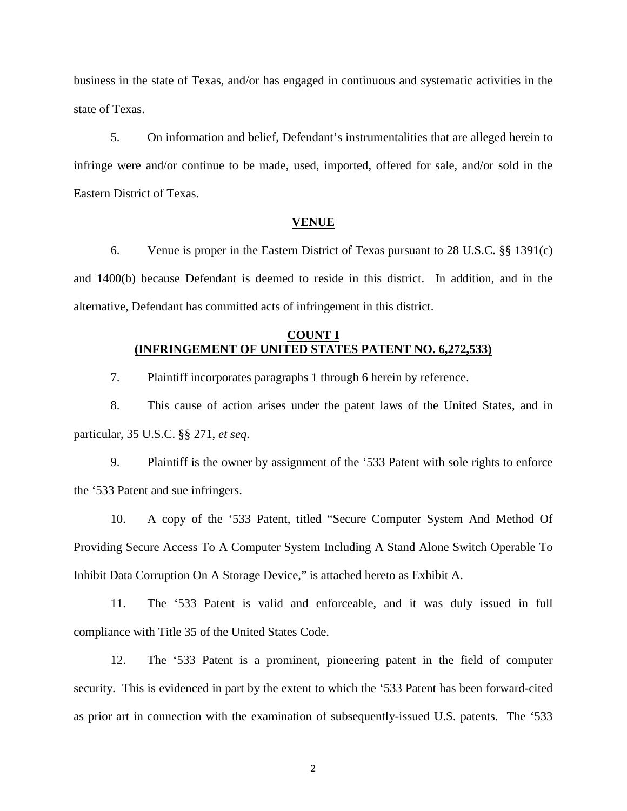business in the state of Texas, and/or has engaged in continuous and systematic activities in the state of Texas.

5. On information and belief, Defendant's instrumentalities that are alleged herein to infringe were and/or continue to be made, used, imported, offered for sale, and/or sold in the Eastern District of Texas.

## **VENUE**

6. Venue is proper in the Eastern District of Texas pursuant to 28 U.S.C. §§ 1391(c) and 1400(b) because Defendant is deemed to reside in this district. In addition, and in the alternative, Defendant has committed acts of infringement in this district.

# **COUNT I (INFRINGEMENT OF UNITED STATES PATENT NO. 6,272,533)**

7. Plaintiff incorporates paragraphs 1 through 6 herein by reference.

8. This cause of action arises under the patent laws of the United States, and in particular, 35 U.S.C. §§ 271, *et seq*.

9. Plaintiff is the owner by assignment of the '533 Patent with sole rights to enforce the '533 Patent and sue infringers.

10. A copy of the '533 Patent, titled "Secure Computer System And Method Of Providing Secure Access To A Computer System Including A Stand Alone Switch Operable To Inhibit Data Corruption On A Storage Device," is attached hereto as Exhibit A.

11. The '533 Patent is valid and enforceable, and it was duly issued in full compliance with Title 35 of the United States Code.

12. The '533 Patent is a prominent, pioneering patent in the field of computer security. This is evidenced in part by the extent to which the '533 Patent has been forward-cited as prior art in connection with the examination of subsequently-issued U.S. patents. The '533

2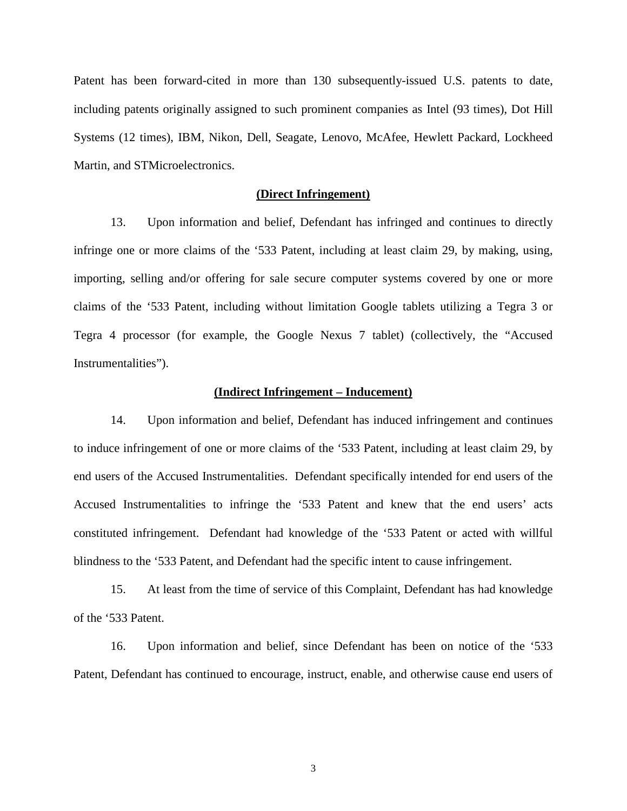Patent has been forward-cited in more than 130 subsequently-issued U.S. patents to date, including patents originally assigned to such prominent companies as Intel (93 times), Dot Hill Systems (12 times), IBM, Nikon, Dell, Seagate, Lenovo, McAfee, Hewlett Packard, Lockheed Martin, and STMicroelectronics.

## **(Direct Infringement)**

13. Upon information and belief, Defendant has infringed and continues to directly infringe one or more claims of the '533 Patent, including at least claim 29, by making, using, importing, selling and/or offering for sale secure computer systems covered by one or more claims of the '533 Patent, including without limitation Google tablets utilizing a Tegra 3 or Tegra 4 processor (for example, the Google Nexus 7 tablet) (collectively, the "Accused Instrumentalities").

#### **(Indirect Infringement – Inducement)**

14. Upon information and belief, Defendant has induced infringement and continues to induce infringement of one or more claims of the '533 Patent, including at least claim 29, by end users of the Accused Instrumentalities. Defendant specifically intended for end users of the Accused Instrumentalities to infringe the '533 Patent and knew that the end users' acts constituted infringement. Defendant had knowledge of the '533 Patent or acted with willful blindness to the '533 Patent, and Defendant had the specific intent to cause infringement.

15. At least from the time of service of this Complaint, Defendant has had knowledge of the '533 Patent.

16. Upon information and belief, since Defendant has been on notice of the '533 Patent, Defendant has continued to encourage, instruct, enable, and otherwise cause end users of

3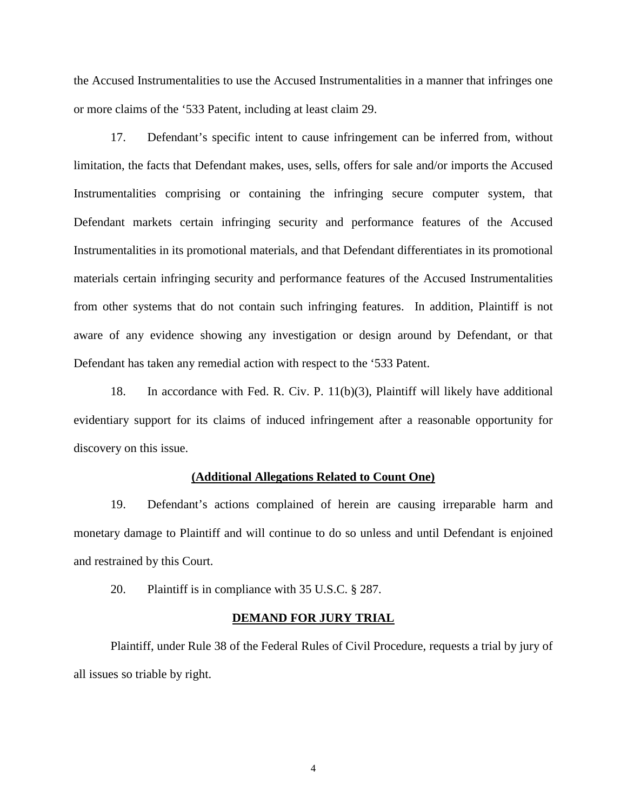the Accused Instrumentalities to use the Accused Instrumentalities in a manner that infringes one or more claims of the '533 Patent, including at least claim 29.

17. Defendant's specific intent to cause infringement can be inferred from, without limitation, the facts that Defendant makes, uses, sells, offers for sale and/or imports the Accused Instrumentalities comprising or containing the infringing secure computer system, that Defendant markets certain infringing security and performance features of the Accused Instrumentalities in its promotional materials, and that Defendant differentiates in its promotional materials certain infringing security and performance features of the Accused Instrumentalities from other systems that do not contain such infringing features. In addition, Plaintiff is not aware of any evidence showing any investigation or design around by Defendant, or that Defendant has taken any remedial action with respect to the '533 Patent.

18. In accordance with Fed. R. Civ. P. 11(b)(3), Plaintiff will likely have additional evidentiary support for its claims of induced infringement after a reasonable opportunity for discovery on this issue.

#### **(Additional Allegations Related to Count One)**

19. Defendant's actions complained of herein are causing irreparable harm and monetary damage to Plaintiff and will continue to do so unless and until Defendant is enjoined and restrained by this Court.

20. Plaintiff is in compliance with 35 U.S.C. § 287.

## **DEMAND FOR JURY TRIAL**

Plaintiff, under Rule 38 of the Federal Rules of Civil Procedure, requests a trial by jury of all issues so triable by right.

4